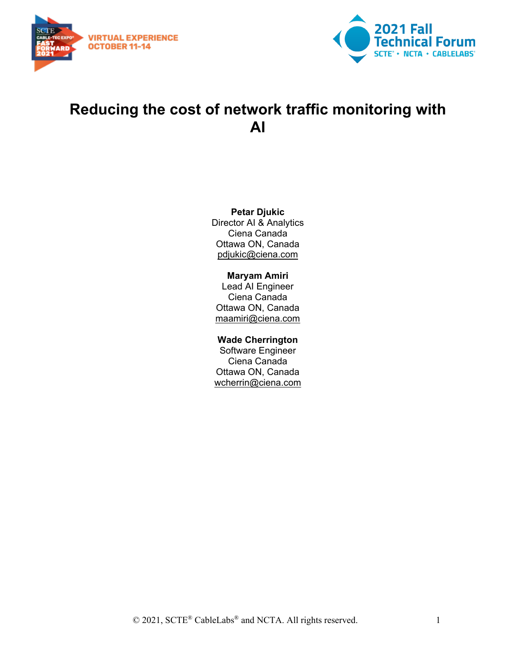



# **Reducing the cost of network traffic monitoring with AI**

#### **Petar Djukic**

Director AI & Analytics Ciena Canada Ottawa ON, Canada [pdjukic@ciena.com](mailto:pdjukic@ciena.com)

#### **Maryam Amiri**

Lead AI Engineer Ciena Canada Ottawa ON, Canada [maamiri@ciena.com](mailto:maamiri@ciena.com)

#### **Wade Cherrington**

Software Engineer Ciena Canada Ottawa ON, Canada wcherrin@ciena.com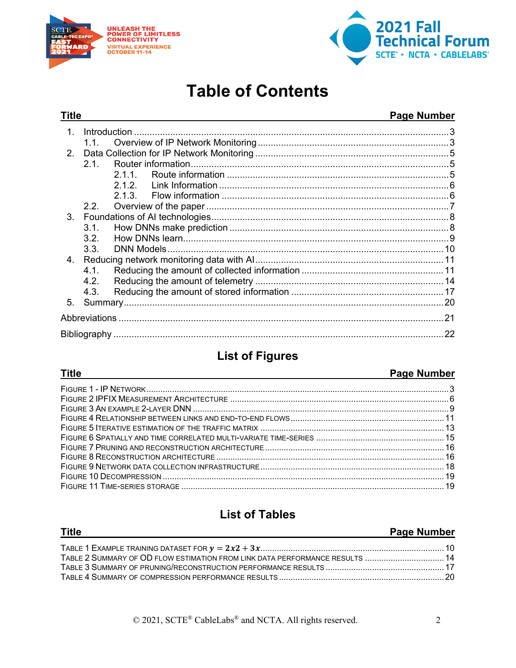



# **Table of Contents**

#### **Title Page Number** Introduction 3  $1<sup>1</sup>$  $11$  $21$  $211$  $2.1.2.$  $2.1.3.$  $2.2.$  $3<sub>1</sub>$  $3.2.$  $3.3.$  $4.1.$  $4.2.$  $4.3.$  $5.$

# **List of Figures**

#### **Title**

#### **Page Number**

# **List of Tables**

| <b>Title</b>                                                                 | <b>Page Number</b> |
|------------------------------------------------------------------------------|--------------------|
|                                                                              |                    |
| TABLE 2 SUMMARY OF OD FLOW ESTIMATION FROM LINK DATA PERFORMANCE RESULTS  14 |                    |
|                                                                              |                    |
|                                                                              |                    |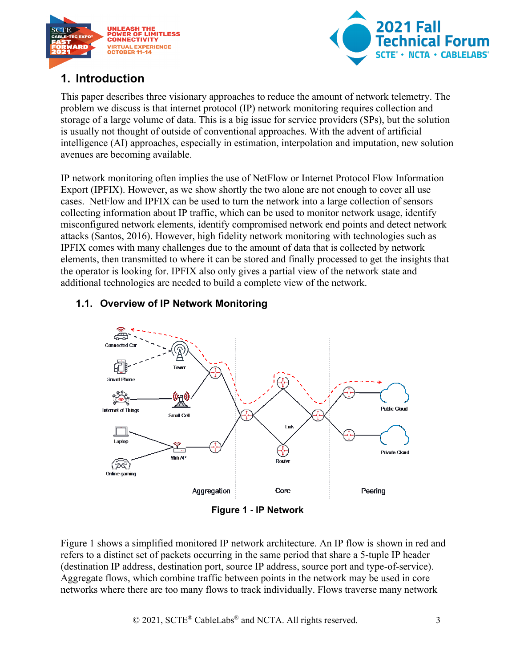



## <span id="page-2-0"></span>**1. Introduction**

This paper describes three visionary approaches to reduce the amount of network telemetry. The problem we discuss is that internet protocol (IP) network monitoring requires collection and storage of a large volume of data. This is a big issue for service providers (SPs), but the solution is usually not thought of outside of conventional approaches. With the advent of artificial intelligence (AI) approaches, especially in estimation, interpolation and imputation, new solution avenues are becoming available.

IP network monitoring often implies the use of NetFlow or Internet Protocol Flow Information Export (IPFIX). However, as we show shortly the two alone are not enough to cover all use cases. NetFlow and IPFIX can be used to turn the network into a large collection of sensors collecting information about IP traffic, which can be used to monitor network usage, identify misconfigured network elements, identify compromised network end points and detect network attacks (Santos, 2016). However, high fidelity network monitoring with technologies such as IPFIX comes with many challenges due to the amount of data that is collected by network elements, then transmitted to where it can be stored and finally processed to get the insights that the operator is looking for. IPFIX also only gives a partial view of the network state and additional technologies are needed to build a complete view of the network.

#### <span id="page-2-1"></span>**1.1. Overview of IP Network Monitoring**



**Figure 1 - IP Network**

<span id="page-2-2"></span>[Figure 1](#page-2-2) shows a simplified monitored IP network architecture. An IP flow is shown in red and refers to a distinct set of packets occurring in the same period that share a 5-tuple IP header (destination IP address, destination port, source IP address, source port and type-of-service). Aggregate flows, which combine traffic between points in the network may be used in core networks where there are too many flows to track individually. Flows traverse many network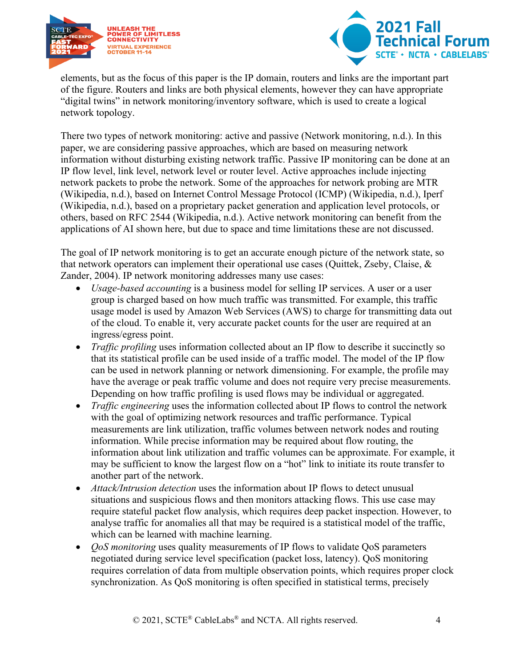



elements, but as the focus of this paper is the IP domain, routers and links are the important part of the figure. Routers and links are both physical elements, however they can have appropriate "digital twins" in network monitoring/inventory software, which is used to create a logical network topology.

There two types of network monitoring: active and passive (Network monitoring, n.d.). In this paper, we are considering passive approaches, which are based on measuring network information without disturbing existing network traffic. Passive IP monitoring can be done at an IP flow level, link level, network level or router level. Active approaches include injecting network packets to probe the network. Some of the approaches for network probing are MTR (Wikipedia, n.d.), based on Internet Control Message Protocol (ICMP) (Wikipedia, n.d.), Iperf (Wikipedia, n.d.), based on a proprietary packet generation and application level protocols, or others, based on RFC 2544 (Wikipedia, n.d.). Active network monitoring can benefit from the applications of AI shown here, but due to space and time limitations these are not discussed.

The goal of IP network monitoring is to get an accurate enough picture of the network state, so that network operators can implement their operational use cases (Quittek, Zseby, Claise, & Zander, 2004). IP network monitoring addresses many use cases:

- *Usage-based accounting* is a business model for selling IP services. A user or a user group is charged based on how much traffic was transmitted. For example, this traffic usage model is used by Amazon Web Services (AWS) to charge for transmitting data out of the cloud. To enable it, very accurate packet counts for the user are required at an ingress/egress point.
- *Traffic profiling* uses information collected about an IP flow to describe it succinctly so that its statistical profile can be used inside of a traffic model. The model of the IP flow can be used in network planning or network dimensioning. For example, the profile may have the average or peak traffic volume and does not require very precise measurements. Depending on how traffic profiling is used flows may be individual or aggregated.
- *Traffic engineering* uses the information collected about IP flows to control the network with the goal of optimizing network resources and traffic performance. Typical measurements are link utilization, traffic volumes between network nodes and routing information. While precise information may be required about flow routing, the information about link utilization and traffic volumes can be approximate. For example, it may be sufficient to know the largest flow on a "hot" link to initiate its route transfer to another part of the network.
- *Attack/Intrusion detection* uses the information about IP flows to detect unusual situations and suspicious flows and then monitors attacking flows. This use case may require stateful packet flow analysis, which requires deep packet inspection. However, to analyse traffic for anomalies all that may be required is a statistical model of the traffic, which can be learned with machine learning.
- *QoS monitoring* uses quality measurements of IP flows to validate QoS parameters negotiated during service level specification (packet loss, latency). QoS monitoring requires correlation of data from multiple observation points, which requires proper clock synchronization. As QoS monitoring is often specified in statistical terms, precisely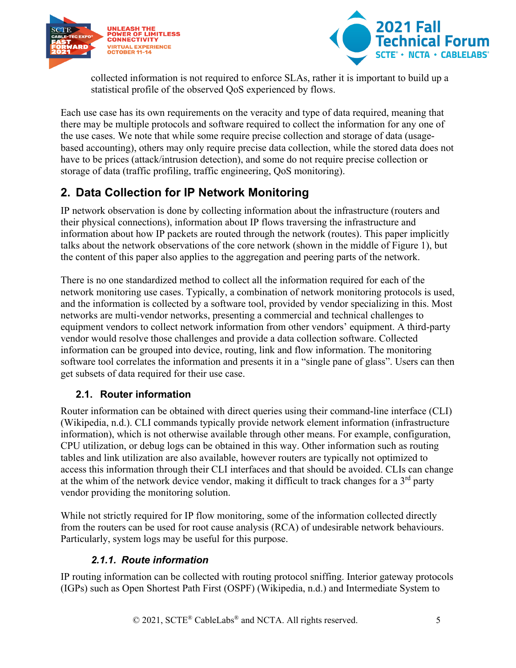



collected information is not required to enforce SLAs, rather it is important to build up a statistical profile of the observed QoS experienced by flows.

Each use case has its own requirements on the veracity and type of data required, meaning that there may be multiple protocols and software required to collect the information for any one of the use cases. We note that while some require precise collection and storage of data (usagebased accounting), others may only require precise data collection, while the stored data does not have to be prices (attack/intrusion detection), and some do not require precise collection or storage of data (traffic profiling, traffic engineering, QoS monitoring).

# <span id="page-4-0"></span>**2. Data Collection for IP Network Monitoring**

IP network observation is done by collecting information about the infrastructure (routers and their physical connections), information about IP flows traversing the infrastructure and information about how IP packets are routed through the network (routes). This paper implicitly talks about the network observations of the core network (shown in the middle of [Figure 1\)](#page-2-2), but the content of this paper also applies to the aggregation and peering parts of the network.

There is no one standardized method to collect all the information required for each of the network monitoring use cases. Typically, a combination of network monitoring protocols is used, and the information is collected by a software tool, provided by vendor specializing in this. Most networks are multi-vendor networks, presenting a commercial and technical challenges to equipment vendors to collect network information from other vendors' equipment. A third-party vendor would resolve those challenges and provide a data collection software. Collected information can be grouped into device, routing, link and flow information. The monitoring software tool correlates the information and presents it in a "single pane of glass". Users can then get subsets of data required for their use case.

### <span id="page-4-1"></span>**2.1. Router information**

Router information can be obtained with direct queries using their command-line interface (CLI) (Wikipedia, n.d.). CLI commands typically provide network element information (infrastructure information), which is not otherwise available through other means. For example, configuration, CPU utilization, or debug logs can be obtained in this way. Other information such as routing tables and link utilization are also available, however routers are typically not optimized to access this information through their CLI interfaces and that should be avoided. CLIs can change at the whim of the network device vendor, making it difficult to track changes for a  $3<sup>rd</sup>$  party vendor providing the monitoring solution.

While not strictly required for IP flow monitoring, some of the information collected directly from the routers can be used for root cause analysis (RCA) of undesirable network behaviours. Particularly, system logs may be useful for this purpose.

### *2.1.1. Route information*

<span id="page-4-2"></span>IP routing information can be collected with routing protocol sniffing. Interior gateway protocols (IGPs) such as Open Shortest Path First (OSPF) (Wikipedia, n.d.) and Intermediate System to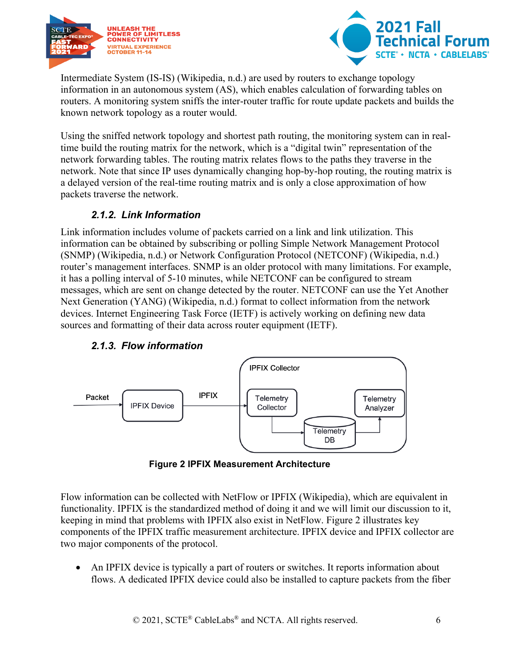



Intermediate System (IS-IS) (Wikipedia, n.d.) are used by routers to exchange topology information in an autonomous system (AS), which enables calculation of forwarding tables on routers. A monitoring system sniffs the inter-router traffic for route update packets and builds the known network topology as a router would.

Using the sniffed network topology and shortest path routing, the monitoring system can in realtime build the routing matrix for the network, which is a "digital twin" representation of the network forwarding tables. The routing matrix relates flows to the paths they traverse in the network. Note that since IP uses dynamically changing hop-by-hop routing, the routing matrix is a delayed version of the real-time routing matrix and is only a close approximation of how packets traverse the network.

#### *2.1.2. Link Information*

<span id="page-5-0"></span>Link information includes volume of packets carried on a link and link utilization. This information can be obtained by subscribing or polling Simple Network Management Protocol (SNMP) (Wikipedia, n.d.) or Network Configuration Protocol (NETCONF) (Wikipedia, n.d.) router's management interfaces. SNMP is an older protocol with many limitations. For example, it has a polling interval of 5-10 minutes, while NETCONF can be configured to stream messages, which are sent on change detected by the router. NETCONF can use the Yet Another Next Generation (YANG) (Wikipedia, n.d.) format to collect information from the network devices. Internet Engineering Task Force (IETF) is actively working on defining new data sources and formatting of their data across router equipment (IETF).

<span id="page-5-1"></span>

#### *2.1.3. Flow information*



<span id="page-5-2"></span>Flow information can be collected with NetFlow or IPFIX (Wikipedia), which are equivalent in functionality. IPFIX is the standardized method of doing it and we will limit our discussion to it, keeping in mind that problems with IPFIX also exist in NetFlow. [Figure 2](#page-5-2) illustrates key components of the IPFIX traffic measurement architecture. IPFIX device and IPFIX collector are two major components of the protocol.

• An IPFIX device is typically a part of routers or switches. It reports information about flows. A dedicated IPFIX device could also be installed to capture packets from the fiber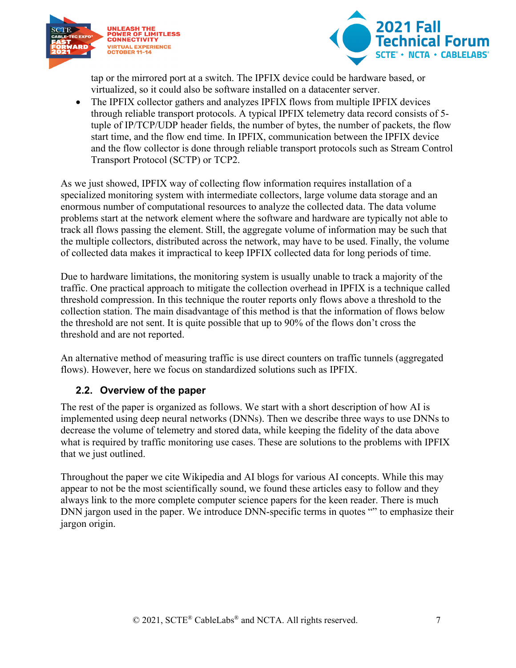



tap or the mirrored port at a switch. The IPFIX device could be hardware based, or virtualized, so it could also be software installed on a datacenter server.

• The IPFIX collector gathers and analyzes IPFIX flows from multiple IPFIX devices through reliable transport protocols. A typical IPFIX telemetry data record consists of 5 tuple of IP/TCP/UDP header fields, the number of bytes, the number of packets, the flow start time, and the flow end time. In IPFIX, communication between the IPFIX device and the flow collector is done through reliable transport protocols such as Stream Control Transport Protocol (SCTP) or TCP2.

As we just showed, IPFIX way of collecting flow information requires installation of a specialized monitoring system with intermediate collectors, large volume data storage and an enormous number of computational resources to analyze the collected data. The data volume problems start at the network element where the software and hardware are typically not able to track all flows passing the element. Still, the aggregate volume of information may be such that the multiple collectors, distributed across the network, may have to be used. Finally, the volume of collected data makes it impractical to keep IPFIX collected data for long periods of time.

Due to hardware limitations, the monitoring system is usually unable to track a majority of the traffic. One practical approach to mitigate the collection overhead in IPFIX is a technique called threshold compression. In this technique the router reports only flows above a threshold to the collection station. The main disadvantage of this method is that the information of flows below the threshold are not sent. It is quite possible that up to 90% of the flows don't cross the threshold and are not reported.

An alternative method of measuring traffic is use direct counters on traffic tunnels (aggregated flows). However, here we focus on standardized solutions such as IPFIX.

#### <span id="page-6-0"></span>**2.2. Overview of the paper**

The rest of the paper is organized as follows. We start with a short description of how AI is implemented using deep neural networks (DNNs). Then we describe three ways to use DNNs to decrease the volume of telemetry and stored data, while keeping the fidelity of the data above what is required by traffic monitoring use cases. These are solutions to the problems with IPFIX that we just outlined.

Throughout the paper we cite Wikipedia and AI blogs for various AI concepts. While this may appear to not be the most scientifically sound, we found these articles easy to follow and they always link to the more complete computer science papers for the keen reader. There is much DNN jargon used in the paper. We introduce DNN-specific terms in quotes "" to emphasize their jargon origin.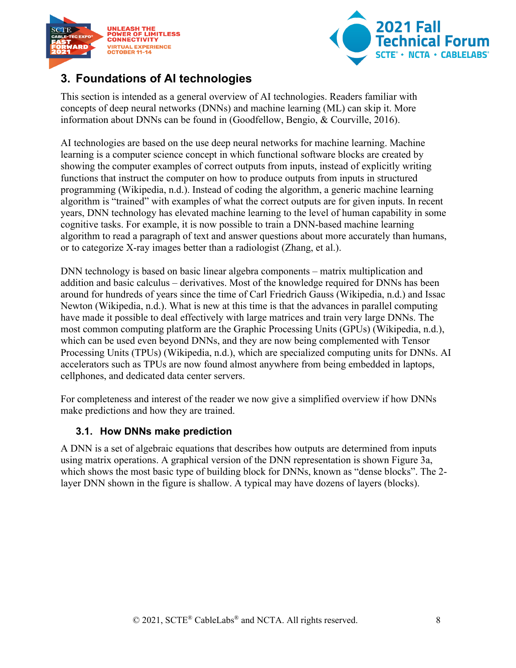



## <span id="page-7-0"></span>**3. Foundations of AI technologies**

This section is intended as a general overview of AI technologies. Readers familiar with concepts of deep neural networks (DNNs) and machine learning (ML) can skip it. More information about DNNs can be found in (Goodfellow, Bengio, & Courville, 2016).

AI technologies are based on the use deep neural networks for machine learning. Machine learning is a computer science concept in which functional software blocks are created by showing the computer examples of correct outputs from inputs, instead of explicitly writing functions that instruct the computer on how to produce outputs from inputs in structured programming (Wikipedia, n.d.). Instead of coding the algorithm, a generic machine learning algorithm is "trained" with examples of what the correct outputs are for given inputs. In recent years, DNN technology has elevated machine learning to the level of human capability in some cognitive tasks. For example, it is now possible to train a DNN-based machine learning algorithm to read a paragraph of text and answer questions about more accurately than humans, or to categorize X-ray images better than a radiologist (Zhang, et al.).

DNN technology is based on basic linear algebra components – matrix multiplication and addition and basic calculus – derivatives. Most of the knowledge required for DNNs has been around for hundreds of years since the time of Carl Friedrich Gauss (Wikipedia, n.d.) and Issac Newton (Wikipedia, n.d.). What is new at this time is that the advances in parallel computing have made it possible to deal effectively with large matrices and train very large DNNs. The most common computing platform are the Graphic Processing Units (GPUs) (Wikipedia, n.d.), which can be used even beyond DNNs, and they are now being complemented with Tensor Processing Units (TPUs) (Wikipedia, n.d.), which are specialized computing units for DNNs. AI accelerators such as TPUs are now found almost anywhere from being embedded in laptops, cellphones, and dedicated data center servers.

For completeness and interest of the reader we now give a simplified overview if how DNNs make predictions and how they are trained.

#### <span id="page-7-1"></span>**3.1. How DNNs make prediction**

A DNN is a set of algebraic equations that describes how outputs are determined from inputs using matrix operations. A graphical version of the DNN representation is shown [Figure 3a](#page-8-1), which shows the most basic type of building block for DNNs, known as "dense blocks". The 2 layer DNN shown in the figure is shallow. A typical may have dozens of layers (blocks).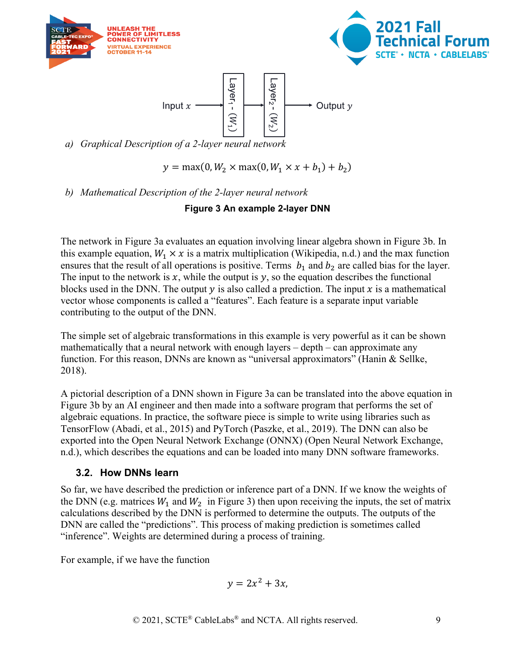





*a) Graphical Description of a 2-layer neural network* 

 $y = \max(0, W_2 \times \max(0, W_1 \times x + b_1) + b_2)$ 

<span id="page-8-1"></span>*b) Mathematical Description of the 2-layer neural network*

#### **Figure 3 An example 2-layer DNN**

The network in [Figure 3a](#page-8-1) evaluates an equation involving linear algebra shown in [Figure 3b](#page-8-1). In this example equation,  $W_1 \times x$  is a matrix multiplication (Wikipedia, n.d.) and the max function ensures that the result of all operations is positive. Terms  $b_1$  and  $b_2$  are called bias for the layer. The input to the network is  $x$ , while the output is  $y$ , so the equation describes the functional blocks used in the DNN. The output  $\gamma$  is also called a prediction. The input  $\chi$  is a mathematical vector whose components is called a "features". Each feature is a separate input variable contributing to the output of the DNN.

The simple set of algebraic transformations in this example is very powerful as it can be shown mathematically that a neural network with enough layers – depth – can approximate any function. For this reason, DNNs are known as "universal approximators" (Hanin & Sellke, 2018).

A pictorial description of a DNN shown in [Figure 3a](#page-8-1) can be translated into the above equation in [Figure 3b](#page-8-1) by an AI engineer and then made into a software program that performs the set of algebraic equations. In practice, the software piece is simple to write using libraries such as TensorFlow (Abadi, et al., 2015) and PyTorch (Paszke, et al., 2019). The DNN can also be exported into the Open Neural Network Exchange (ONNX) (Open Neural Network Exchange, n.d.), which describes the equations and can be loaded into many DNN software frameworks.

### <span id="page-8-0"></span>**3.2. How DNNs learn**

So far, we have described the prediction or inference part of a DNN. If we know the weights of the DNN (e.g. matrices  $W_1$  and  $W_2$  in [Figure 3\)](#page-8-1) then upon receiving the inputs, the set of matrix calculations described by the DNN is performed to determine the outputs. The outputs of the DNN are called the "predictions". This process of making prediction is sometimes called "inference". Weights are determined during a process of training.

For example, if we have the function

$$
y=2x^2+3x,
$$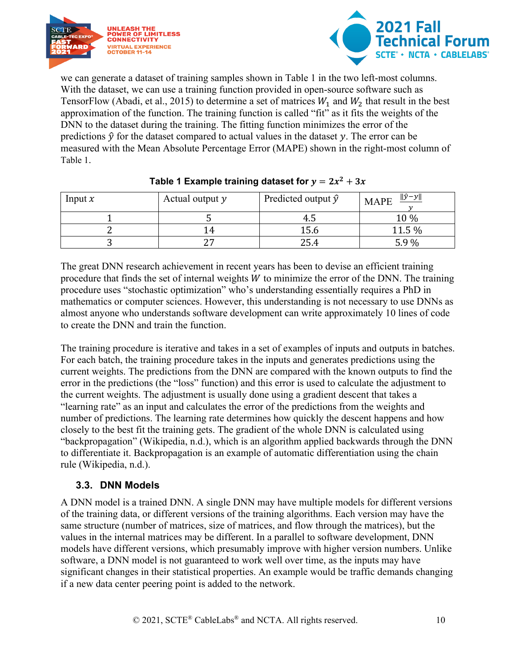



we can generate a dataset of training samples shown in [Table 1](#page-9-1) in the two left-most columns. With the dataset, we can use a training function provided in open-source software such as TensorFlow (Abadi, et al., 2015) to determine a set of matrices  $W_1$  and  $W_2$  that result in the best approximation of the function. The training function is called "fit" as it fits the weights of the DNN to the dataset during the training. The fitting function minimizes the error of the predictions  $\hat{y}$  for the dataset compared to actual values in the dataset y. The error can be measured with the Mean Absolute Percentage Error (MAPE) shown in the right-most column of [Table 1.](#page-9-1)

<span id="page-9-1"></span>

| Input $x$ | Actual output y | Predicted output $\hat{y}$ | $\ \hat{y}-y\ $<br><b>MAPE</b> |
|-----------|-----------------|----------------------------|--------------------------------|
|           |                 |                            | 10 %                           |
|           | ' 4             | 15.6                       | 11.5 %                         |
|           | ົ               | 25.4                       | 5.9%                           |

#### Table 1 **Example training dataset for**  $y = 2x^2 + 3x$

The great DNN research achievement in recent years has been to devise an efficient training procedure that finds the set of internal weights  $W$  to minimize the error of the DNN. The training procedure uses "stochastic optimization" who's understanding essentially requires a PhD in mathematics or computer sciences. However, this understanding is not necessary to use DNNs as almost anyone who understands software development can write approximately 10 lines of code to create the DNN and train the function.

The training procedure is iterative and takes in a set of examples of inputs and outputs in batches. For each batch, the training procedure takes in the inputs and generates predictions using the current weights. The predictions from the DNN are compared with the known outputs to find the error in the predictions (the "loss" function) and this error is used to calculate the adjustment to the current weights. The adjustment is usually done using a gradient descent that takes a "learning rate" as an input and calculates the error of the predictions from the weights and number of predictions. The learning rate determines how quickly the descent happens and how closely to the best fit the training gets. The gradient of the whole DNN is calculated using "backpropagation" (Wikipedia, n.d.), which is an algorithm applied backwards through the DNN to differentiate it. Backpropagation is an example of automatic differentiation using the chain rule (Wikipedia, n.d.).

#### <span id="page-9-0"></span>**3.3. DNN Models**

A DNN model is a trained DNN. A single DNN may have multiple models for different versions of the training data, or different versions of the training algorithms. Each version may have the same structure (number of matrices, size of matrices, and flow through the matrices), but the values in the internal matrices may be different. In a parallel to software development, DNN models have different versions, which presumably improve with higher version numbers. Unlike software, a DNN model is not guaranteed to work well over time, as the inputs may have significant changes in their statistical properties. An example would be traffic demands changing if a new data center peering point is added to the network.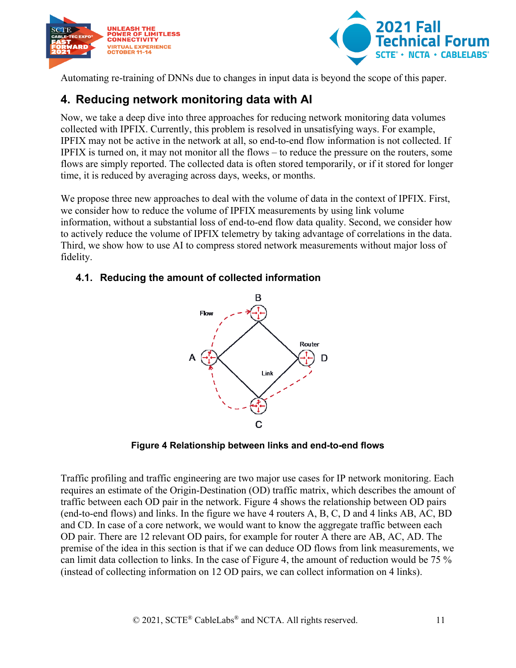



Automating re-training of DNNs due to changes in input data is beyond the scope of this paper.

### <span id="page-10-0"></span>**4. Reducing network monitoring data with AI**

Now, we take a deep dive into three approaches for reducing network monitoring data volumes collected with IPFIX. Currently, this problem is resolved in unsatisfying ways. For example, IPFIX may not be active in the network at all, so end-to-end flow information is not collected. If IPFIX is turned on, it may not monitor all the flows – to reduce the pressure on the routers, some flows are simply reported. The collected data is often stored temporarily, or if it stored for longer time, it is reduced by averaging across days, weeks, or months.

We propose three new approaches to deal with the volume of data in the context of IPFIX. First, we consider how to reduce the volume of IPFIX measurements by using link volume information, without a substantial loss of end-to-end flow data quality. Second, we consider how to actively reduce the volume of IPFIX telemetry by taking advantage of correlations in the data. Third, we show how to use AI to compress stored network measurements without major loss of fidelity.

#### <span id="page-10-1"></span>**4.1. Reducing the amount of collected information**



**Figure 4 Relationship between links and end-to-end flows**

<span id="page-10-2"></span>Traffic profiling and traffic engineering are two major use cases for IP network monitoring. Each requires an estimate of the Origin-Destination (OD) traffic matrix, which describes the amount of traffic between each OD pair in the network. [Figure 4](#page-10-2) shows the relationship between OD pairs (end-to-end flows) and links. In the figure we have 4 routers A, B, C, D and 4 links AB, AC, BD and CD. In case of a core network, we would want to know the aggregate traffic between each OD pair. There are 12 relevant OD pairs, for example for router A there are AB, AC, AD. The premise of the idea in this section is that if we can deduce OD flows from link measurements, we can limit data collection to links. In the case of [Figure 4,](#page-10-2) the amount of reduction would be 75 % (instead of collecting information on 12 OD pairs, we can collect information on 4 links).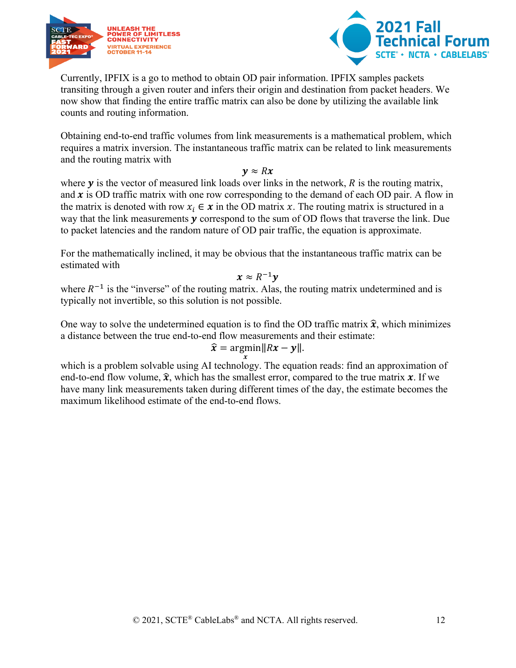



Currently, IPFIX is a go to method to obtain OD pair information. IPFIX samples packets transiting through a given router and infers their origin and destination from packet headers. We now show that finding the entire traffic matrix can also be done by utilizing the available link counts and routing information.

Obtaining end-to-end traffic volumes from link measurements is a mathematical problem, which requires a matrix inversion. The instantaneous traffic matrix can be related to link measurements and the routing matrix with

 $y \approx Rx$ 

where  $y$  is the vector of measured link loads over links in the network,  $R$  is the routing matrix, and  $x$  is OD traffic matrix with one row corresponding to the demand of each OD pair. A flow in the matrix is denoted with row  $x_i \in \mathbf{x}$  in the OD matrix  $\mathbf{x}$ . The routing matrix is structured in a way that the link measurements  $y$  correspond to the sum of OD flows that traverse the link. Due to packet latencies and the random nature of OD pair traffic, the equation is approximate.

For the mathematically inclined, it may be obvious that the instantaneous traffic matrix can be estimated with

 $x \approx R^{-1}v$ 

where  $R^{-1}$  is the "inverse" of the routing matrix. Alas, the routing matrix undetermined and is typically not invertible, so this solution is not possible.

One way to solve the undetermined equation is to find the OD traffic matrix  $\hat{\mathbf{x}}$ , which minimizes a distance between the true end-to-end flow measurements and their estimate:

$$
\widehat{x} = \underset{x}{\operatorname{argmin}} \|Rx - y\|.
$$

which is a problem solvable using AI technology. The equation reads: find an approximation of end-to-end flow volume,  $\hat{x}$ , which has the smallest error, compared to the true matrix  $\hat{x}$ . If we have many link measurements taken during different times of the day, the estimate becomes the maximum likelihood estimate of the end-to-end flows.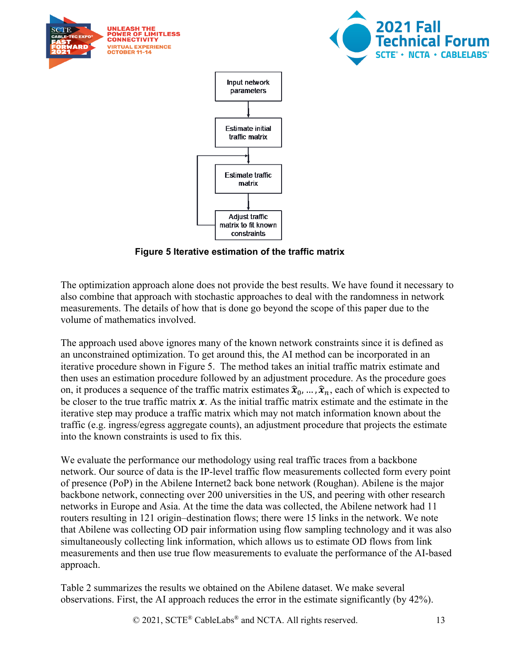

**Figure 5 Iterative estimation of the traffic matrix**

<span id="page-12-0"></span>The optimization approach alone does not provide the best results. We have found it necessary to also combine that approach with stochastic approaches to deal with the randomness in network measurements. The details of how that is done go beyond the scope of this paper due to the volume of mathematics involved.

The approach used above ignores many of the known network constraints since it is defined as an unconstrained optimization. To get around this, the AI method can be incorporated in an iterative procedure shown in [Figure 5.](#page-12-0) The method takes an initial traffic matrix estimate and then uses an estimation procedure followed by an adjustment procedure. As the procedure goes on, it produces a sequence of the traffic matrix estimates  $\hat{\mathbf{x}}_0, \dots, \hat{\mathbf{x}}_n$ , each of which is expected to be closer to the true traffic matrix  $x$ . As the initial traffic matrix estimate and the estimate in the iterative step may produce a traffic matrix which may not match information known about the traffic (e.g. ingress/egress aggregate counts), an adjustment procedure that projects the estimate into the known constraints is used to fix this.

We evaluate the performance our methodology using real traffic traces from a backbone network. Our source of data is the IP-level traffic flow measurements collected form every point of presence (PoP) in the Abilene Internet2 back bone network (Roughan). Abilene is the major backbone network, connecting over 200 universities in the US, and peering with other research networks in Europe and Asia. At the time the data was collected, the Abilene network had 11 routers resulting in 121 origin–destination flows; there were 15 links in the network. We note that Abilene was collecting OD pair information using flow sampling technology and it was also simultaneously collecting link information, which allows us to estimate OD flows from link measurements and then use true flow measurements to evaluate the performance of the AI-based approach.

[Table 2](#page-13-1) summarizes the results we obtained on the Abilene dataset. We make several observations. First, the AI approach reduces the error in the estimate significantly (by 42%).

© 2021, SCTE<sup>®</sup> CableLabs<sup>®</sup> and NCTA. All rights reserved. 13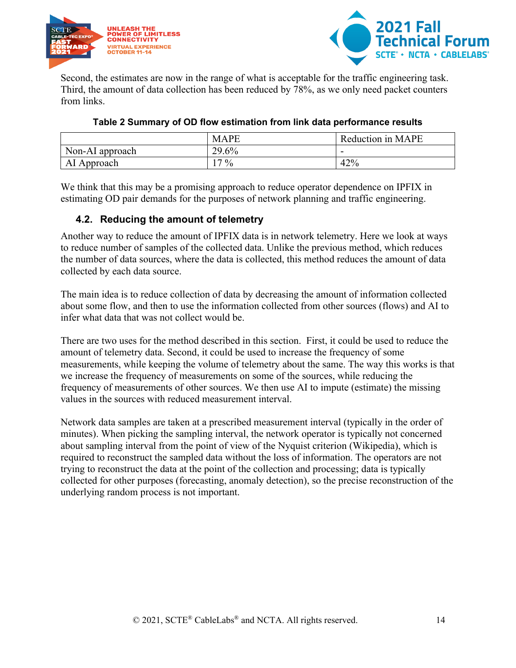



Second, the estimates are now in the range of what is acceptable for the traffic engineering task. Third, the amount of data collection has been reduced by 78%, as we only need packet counters from links.

<span id="page-13-1"></span>

|                 | <b>MAPE</b> | Reduction in MAPE |
|-----------------|-------------|-------------------|
| Non-AI approach | 29.6%       | -                 |
| AI Approach     | $17\%$      | 42%               |

#### **Table 2 Summary of OD flow estimation from link data performance results**

We think that this may be a promising approach to reduce operator dependence on IPFIX in estimating OD pair demands for the purposes of network planning and traffic engineering.

#### <span id="page-13-0"></span>**4.2. Reducing the amount of telemetry**

Another way to reduce the amount of IPFIX data is in network telemetry. Here we look at ways to reduce number of samples of the collected data. Unlike the previous method, which reduces the number of data sources, where the data is collected, this method reduces the amount of data collected by each data source.

The main idea is to reduce collection of data by decreasing the amount of information collected about some flow, and then to use the information collected from other sources (flows) and AI to infer what data that was not collect would be.

There are two uses for the method described in this section. First, it could be used to reduce the amount of telemetry data. Second, it could be used to increase the frequency of some measurements, while keeping the volume of telemetry about the same. The way this works is that we increase the frequency of measurements on some of the sources, while reducing the frequency of measurements of other sources. We then use AI to impute (estimate) the missing values in the sources with reduced measurement interval.

Network data samples are taken at a prescribed measurement interval (typically in the order of minutes). When picking the sampling interval, the network operator is typically not concerned about sampling interval from the point of view of the Nyquist criterion (Wikipedia), which is required to reconstruct the sampled data without the loss of information. The operators are not trying to reconstruct the data at the point of the collection and processing; data is typically collected for other purposes (forecasting, anomaly detection), so the precise reconstruction of the underlying random process is not important.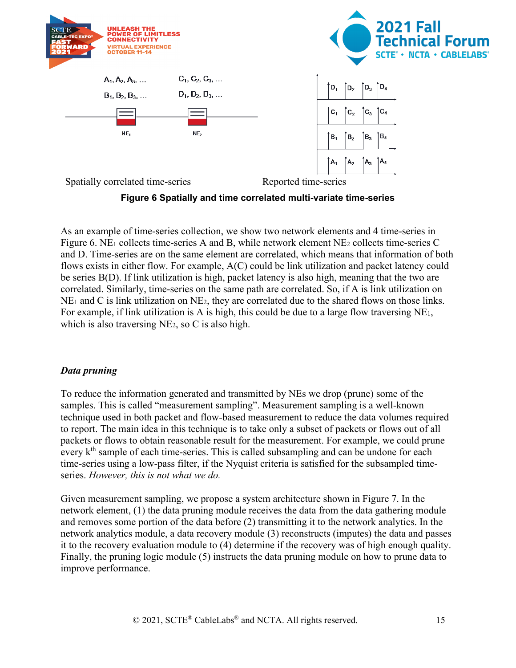

<span id="page-14-0"></span>As an example of time-series collection, we show two network elements and 4 time-series in [Figure 6.](#page-14-0) NE<sub>1</sub> collects time-series A and B, while network element NE<sub>2</sub> collects time-series C and D. Time-series are on the same element are correlated, which means that information of both flows exists in either flow. For example, A(C) could be link utilization and packet latency could be series B(D). If link utilization is high, packet latency is also high, meaning that the two are correlated. Similarly, time-series on the same path are correlated. So, if A is link utilization on  $NE<sub>1</sub>$  and C is link utilization on  $NE<sub>2</sub>$ , they are correlated due to the shared flows on those links. For example, if link utilization is A is high, this could be due to a large flow traversing NE1, which is also traversing NE<sub>2</sub>, so C is also high.

#### *Data pruning*

To reduce the information generated and transmitted by NEs we drop (prune) some of the samples. This is called "measurement sampling". Measurement sampling is a well-known technique used in both packet and flow-based measurement to reduce the data volumes required to report. The main idea in this technique is to take only a subset of packets or flows out of all packets or flows to obtain reasonable result for the measurement. For example, we could prune every  $k<sup>th</sup>$  sample of each time-series. This is called subsampling and can be undone for each time-series using a low-pass filter, if the Nyquist criteria is satisfied for the subsampled timeseries. *However, this is not what we do.*

Given measurement sampling, we propose a system architecture shown in [Figure 7.](#page-15-0) In the network element, (1) the data pruning module receives the data from the data gathering module and removes some portion of the data before (2) transmitting it to the network analytics. In the network analytics module, a data recovery module (3) reconstructs (imputes) the data and passes it to the recovery evaluation module to (4) determine if the recovery was of high enough quality. Finally, the pruning logic module (5) instructs the data pruning module on how to prune data to improve performance.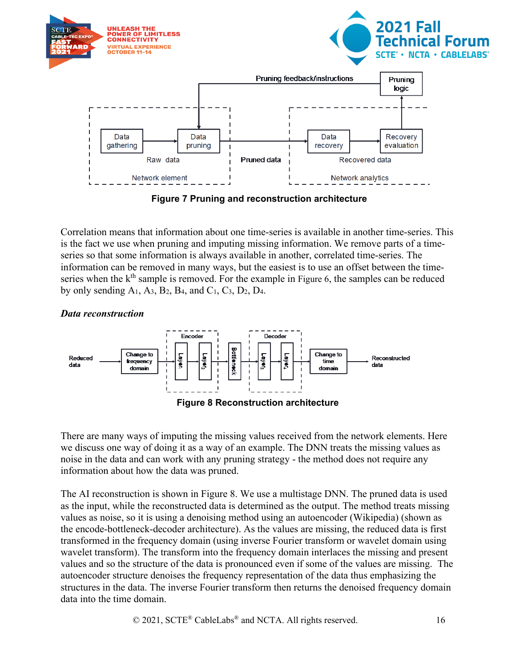

**Figure 7 Pruning and reconstruction architecture**

<span id="page-15-0"></span>Correlation means that information about one time-series is available in another time-series. This is the fact we use when pruning and imputing missing information. We remove parts of a timeseries so that some information is always available in another, correlated time-series. The information can be removed in many ways, but the easiest is to use an offset between the time-series when the k<sup>th</sup> sample is removed. For the example in [Figure 6,](#page-14-0) the samples can be reduced by only sending  $A_1$ ,  $A_3$ ,  $B_2$ ,  $B_4$ , and  $C_1$ ,  $C_3$ ,  $D_2$ ,  $D_4$ .

Encoder Decoder **Bottleneck** Change to Change to Levers Leyer Ş Leyer Reduced Reconstructed frequency time data Š data domain domain **Figure 8 Reconstruction architecture**

<span id="page-15-1"></span>There are many ways of imputing the missing values received from the network elements. Here we discuss one way of doing it as a way of an example. The DNN treats the missing values as noise in the data and can work with any pruning strategy - the method does not require any information about how the data was pruned.

The AI reconstruction is shown in [Figure 8.](#page-15-1) We use a multistage DNN. The pruned data is used as the input, while the reconstructed data is determined as the output. The method treats missing values as noise, so it is using a denoising method using an autoencoder (Wikipedia) (shown as the encode-bottleneck-decoder architecture). As the values are missing, the reduced data is first transformed in the frequency domain (using inverse Fourier transform or wavelet domain using wavelet transform). The transform into the frequency domain interlaces the missing and present values and so the structure of the data is pronounced even if some of the values are missing. The autoencoder structure denoises the frequency representation of the data thus emphasizing the structures in the data. The inverse Fourier transform then returns the denoised frequency domain data into the time domain.

*Data reconstruction*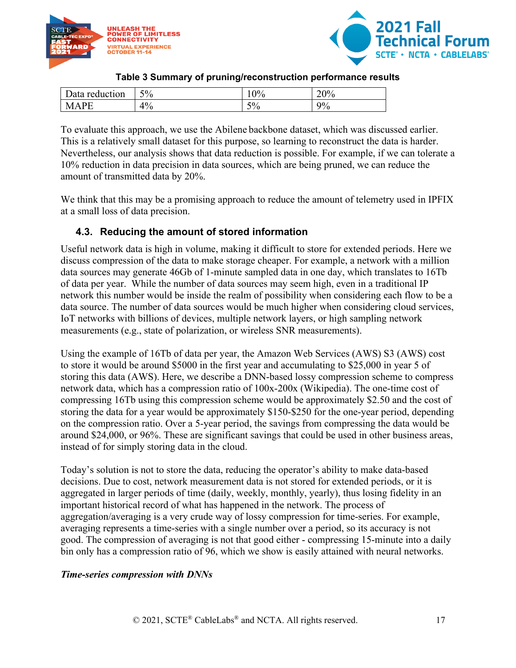



#### **Table 3 Summary of pruning/reconstruction performance results**

<span id="page-16-1"></span>

| 'uction<br>$r \alpha$<br>ata | $5\%$ | $\gamma_{0/2}$ | 20%<br>$\sim$ $\sim$ $\sim$ |
|------------------------------|-------|----------------|-----------------------------|
| DE                           | 4%    | 50/<br>$J$ / U | 9%                          |

To evaluate this approach, we use the Abilene backbone dataset, which was discussed earlier. This is a relatively small dataset for this purpose, so learning to reconstruct the data is harder. Nevertheless, our analysis shows that data reduction is possible. For example, if we can tolerate a 10% reduction in data precision in data sources, which are being pruned, we can reduce the amount of transmitted data by 20%.

We think that this may be a promising approach to reduce the amount of telemetry used in IPFIX at a small loss of data precision.

#### <span id="page-16-0"></span>**4.3. Reducing the amount of stored information**

Useful network data is high in volume, making it difficult to store for extended periods. Here we discuss compression of the data to make storage cheaper. For example, a network with a million data sources may generate 46Gb of 1-minute sampled data in one day, which translates to 16Tb of data per year. While the number of data sources may seem high, even in a traditional IP network this number would be inside the realm of possibility when considering each flow to be a data source. The number of data sources would be much higher when considering cloud services, IoT networks with billions of devices, multiple network layers, or high sampling network measurements (e.g., state of polarization, or wireless SNR measurements).

Using the example of 16Tb of data per year, the Amazon Web Services (AWS) S3 (AWS) cost to store it would be around \$5000 in the first year and accumulating to \$25,000 in year 5 of storing this data (AWS). Here, we describe a DNN-based lossy compression scheme to compress network data, which has a compression ratio of 100x-200x (Wikipedia). The one-time cost of compressing 16Tb using this compression scheme would be approximately \$2.50 and the cost of storing the data for a year would be approximately \$150-\$250 for the one-year period, depending on the compression ratio. Over a 5-year period, the savings from compressing the data would be around \$24,000, or 96%. These are significant savings that could be used in other business areas, instead of for simply storing data in the cloud.

Today's solution is not to store the data, reducing the operator's ability to make data-based decisions. Due to cost, network measurement data is not stored for extended periods, or it is aggregated in larger periods of time (daily, weekly, monthly, yearly), thus losing fidelity in an important historical record of what has happened in the network. The process of aggregation/averaging is a very crude way of lossy compression for time-series. For example, averaging represents a time-series with a single number over a period, so its accuracy is not good. The compression of averaging is not that good either - compressing 15-minute into a daily bin only has a compression ratio of 96, which we show is easily attained with neural networks.

#### *Time-series compression with DNNs*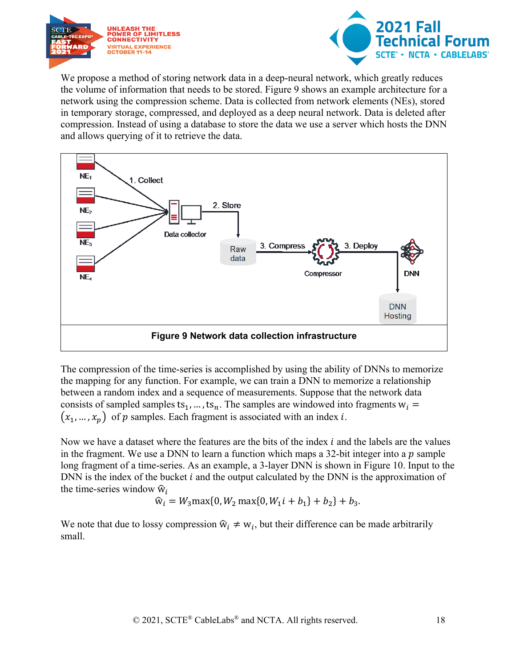



We propose a method of storing network data in a deep-neural network, which greatly reduces the volume of information that needs to be stored. [Figure 9](#page-17-0) shows an example architecture for a network using the compression scheme. Data is collected from network elements (NEs), stored in temporary storage, compressed, and deployed as a deep neural network. Data is deleted after compression. Instead of using a database to store the data we use a server which hosts the DNN and allows querying of it to retrieve the data.



<span id="page-17-0"></span>The compression of the time-series is accomplished by using the ability of DNNs to memorize the mapping for any function. For example, we can train a DNN to memorize a relationship between a random index and a sequence of measurements. Suppose that the network data consists of sampled samples ts<sub>1</sub>, ..., ts<sub>n</sub>. The samples are windowed into fragments  $w_i$  =  $(x_1, ..., x_n)$  of p samples. Each fragment is associated with an index *i*.

Now we have a dataset where the features are the bits of the index  $i$  and the labels are the values in the fragment. We use a DNN to learn a function which maps a 32-bit integer into a  $p$  sample long fragment of a time-series. As an example, a 3-layer DNN is shown in [Figure 10.](#page-18-0) Input to the DNN is the index of the bucket  $i$  and the output calculated by the DNN is the approximation of the time-series window  $\hat{w}_i$ 

$$
\widehat{w}_i = W_3 \max\{0, W_2 \max\{0, W_1 i + b_1\} + b_2\} + b_3.
$$

We note that due to lossy compression  $\hat{w}_i \neq w_i$ , but their difference can be made arbitrarily small.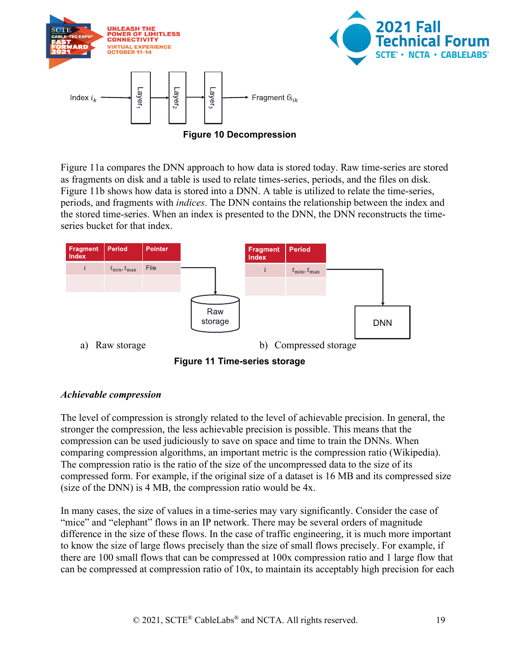



<span id="page-18-0"></span>[Figure 11a](#page-18-1) compares the DNN approach to how data is stored today. Raw time-series are stored as fragments on disk and a table is used to relate times-series, periods, and the files on disk. [Figure 11b](#page-18-1) shows how data is stored into a DNN. A table is utilized to relate the time-series, periods, and fragments with *indices*. The DNN contains the relationship between the index and the stored time-series. When an index is presented to the DNN, the DNN reconstructs the timeseries bucket for that index.



**Figure 11 Time-series storage**

#### <span id="page-18-1"></span>*Achievable compression*

The level of compression is strongly related to the level of achievable precision. In general, the stronger the compression, the less achievable precision is possible. This means that the compression can be used judiciously to save on space and time to train the DNNs. When comparing compression algorithms, an important metric is the compression ratio (Wikipedia). The compression ratio is the ratio of the size of the uncompressed data to the size of its compressed form. For example, if the original size of a dataset is 16 MB and its compressed size (size of the DNN) is 4 MB, the compression ratio would be 4x.

In many cases, the size of values in a time-series may vary significantly. Consider the case of "mice" and "elephant" flows in an IP network. There may be several orders of magnitude difference in the size of these flows. In the case of traffic engineering, it is much more important to know the size of large flows precisely than the size of small flows precisely. For example, if there are 100 small flows that can be compressed at 100x compression ratio and 1 large flow that can be compressed at compression ratio of 10x, to maintain its acceptably high precision for each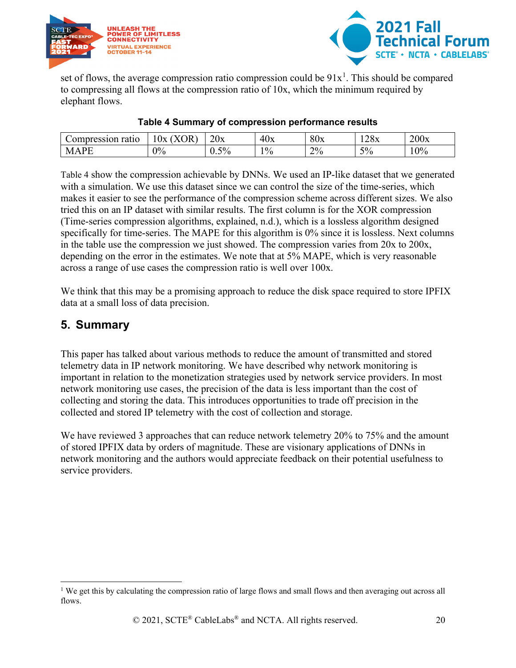



set of flows, the average compression ratio compression could be  $91x<sup>1</sup>$  $91x<sup>1</sup>$  $91x<sup>1</sup>$ . This should be compared to compressing all flows at the compression ratio of 10x, which the minimum required by elephant flows.

<span id="page-19-1"></span>

| $\sim$ $\sim$ $\sim$ $\sim$ $\sim$<br>ratio | $T \cap T$<br>$\sim$<br>. Ix<br>. н<br>$\mathbf{v}$ | $\bigcap$<br>20x | $\Delta\Gamma$<br>1 Ix.<br>τυΛ | 80x   | $\gamma_{\rm Q_{\rm \bf v}}$<br>140A | 200x |
|---------------------------------------------|-----------------------------------------------------|------------------|--------------------------------|-------|--------------------------------------|------|
| M<br>А                                      | $\gamma_{0/2}$                                      | $5\%$<br>◡.◡     | $1\%$                          | $2\%$ | $5\%$                                | 0%   |

#### **Table 4 Summary of compression performance results**

[Table 4](#page-19-1) show the compression achievable by DNNs. We used an IP-like dataset that we generated with a simulation. We use this dataset since we can control the size of the time-series, which makes it easier to see the performance of the compression scheme across different sizes. We also tried this on an IP dataset with similar results. The first column is for the XOR compression (Time-series compression algorithms, explained, n.d.), which is a lossless algorithm designed specifically for time-series. The MAPE for this algorithm is 0% since it is lossless. Next columns in the table use the compression we just showed. The compression varies from 20x to 200x, depending on the error in the estimates. We note that at 5% MAPE, which is very reasonable across a range of use cases the compression ratio is well over 100x.

We think that this may be a promising approach to reduce the disk space required to store IPFIX data at a small loss of data precision.

### <span id="page-19-0"></span>**5. Summary**

This paper has talked about various methods to reduce the amount of transmitted and stored telemetry data in IP network monitoring. We have described why network monitoring is important in relation to the monetization strategies used by network service providers. In most network monitoring use cases, the precision of the data is less important than the cost of collecting and storing the data. This introduces opportunities to trade off precision in the collected and stored IP telemetry with the cost of collection and storage.

We have reviewed 3 approaches that can reduce network telemetry 20% to 75% and the amount of stored IPFIX data by orders of magnitude. These are visionary applications of DNNs in network monitoring and the authors would appreciate feedback on their potential usefulness to service providers.

<span id="page-19-2"></span><sup>&</sup>lt;sup>1</sup> We get this by calculating the compression ratio of large flows and small flows and then averaging out across all flows.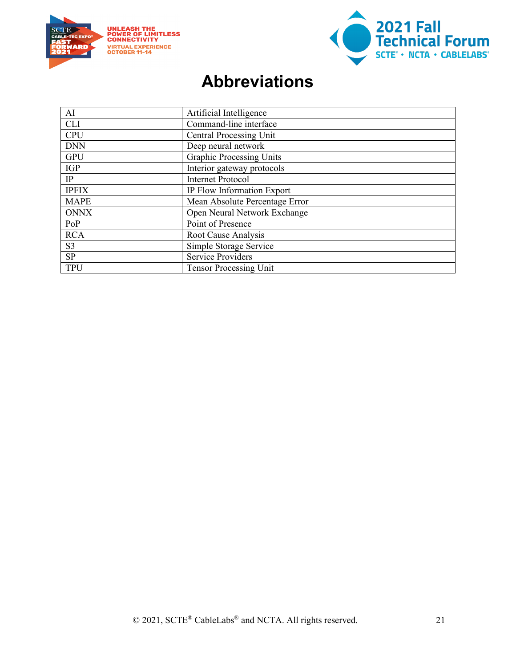



# **Abbreviations**

<span id="page-20-0"></span>

| AI             | Artificial Intelligence         |
|----------------|---------------------------------|
| <b>CLI</b>     | Command-line interface          |
| <b>CPU</b>     | <b>Central Processing Unit</b>  |
| <b>DNN</b>     | Deep neural network             |
| <b>GPU</b>     | <b>Graphic Processing Units</b> |
| <b>IGP</b>     | Interior gateway protocols      |
| IP             | <b>Internet Protocol</b>        |
| <b>IPFIX</b>   | IP Flow Information Export      |
| <b>MAPE</b>    | Mean Absolute Percentage Error  |
| <b>ONNX</b>    | Open Neural Network Exchange    |
| PoP            | Point of Presence               |
| <b>RCA</b>     | Root Cause Analysis             |
| S <sub>3</sub> | Simple Storage Service          |
| SP             | <b>Service Providers</b>        |
| <b>TPU</b>     | <b>Tensor Processing Unit</b>   |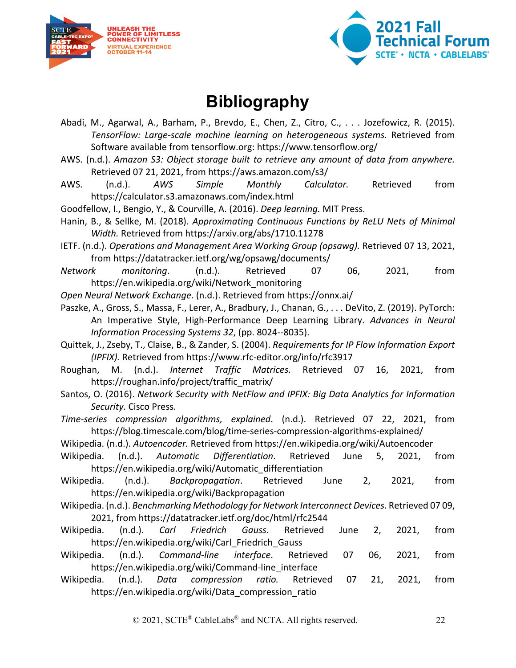



# **Bibliography**

- <span id="page-21-0"></span>Abadi, M., Agarwal, A., Barham, P., Brevdo, E., Chen, Z., Citro, C., . . . Jozefowicz, R. (2015). *TensorFlow: Large-scale machine learning on heterogeneous systems.* Retrieved from Software available from tensorflow.org: https://www.tensorflow.org/
- AWS. (n.d.). *Amazon S3: Object storage built to retrieve any amount of data from anywhere.* Retrieved 07 21, 2021, from https://aws.amazon.com/s3/
- AWS. (n.d.). *AWS Simple Monthly Calculator.* Retrieved from https://calculator.s3.amazonaws.com/index.html

Goodfellow, I., Bengio, Y., & Courville, A. (2016). *Deep learning.* MIT Press.

- Hanin, B., & Sellke, M. (2018). *Approximating Continuous Functions by ReLU Nets of Minimal Width.* Retrieved from https://arxiv.org/abs/1710.11278
- IETF. (n.d.). *Operations and Management Area Working Group (opsawg).* Retrieved 07 13, 2021, from https://datatracker.ietf.org/wg/opsawg/documents/
- *Network monitoring*. (n.d.). Retrieved 07 06, 2021, from https://en.wikipedia.org/wiki/Network\_monitoring

*Open Neural Network Exchange*. (n.d.). Retrieved from https://onnx.ai/

- Paszke, A., Gross, S., Massa, F., Lerer, A., Bradbury, J., Chanan, G., . . . DeVito, Z. (2019). PyTorch: An Imperative Style, High-Performance Deep Learning Library. *Advances in Neural Information Processing Systems 32*, (pp. 8024--8035).
- Quittek, J., Zseby, T., Claise, B., & Zander, S. (2004). *Requirements for IP Flow Information Export (IPFIX).* Retrieved from https://www.rfc-editor.org/info/rfc3917
- Roughan, M. (n.d.). *Internet Traffic Matrices.* Retrieved 07 16, 2021, from https://roughan.info/project/traffic\_matrix/
- Santos, O. (2016). *Network Security with NetFlow and IPFIX: Big Data Analytics for Information Security.* Cisco Press.

*Time-series compression algorithms, explained*. (n.d.). Retrieved 07 22, 2021, from https://blog.timescale.com/blog/time-series-compression-algorithms-explained/

Wikipedia. (n.d.). *Autoencoder.* Retrieved from https://en.wikipedia.org/wiki/Autoencoder

- Wikipedia. (n.d.). *Automatic Differentiation*. Retrieved June 5, 2021, from https://en.wikipedia.org/wiki/Automatic\_differentiation
- Wikipedia. (n.d.). *Backpropagation*. Retrieved June 2, 2021, from https://en.wikipedia.org/wiki/Backpropagation
- Wikipedia. (n.d.). *Benchmarking Methodology for Network Interconnect Devices*. Retrieved 07 09, 2021, from https://datatracker.ietf.org/doc/html/rfc2544
- Wikipedia. (n.d.). *Carl Friedrich Gauss*. Retrieved June 2, 2021, from https://en.wikipedia.org/wiki/Carl Friedrich Gauss
- Wikipedia. (n.d.). *Command-line interface*. Retrieved 07 06, 2021, from https://en.wikipedia.org/wiki/Command-line\_interface
- Wikipedia. (n.d.). *Data compression ratio.* Retrieved 07 21, 2021, from https://en.wikipedia.org/wiki/Data compression ratio